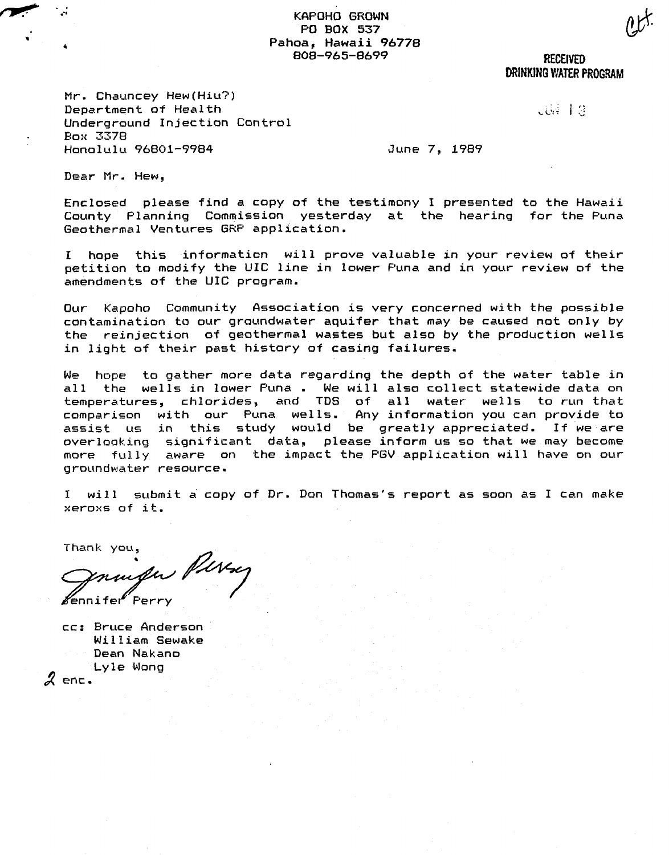KAPOHO GROWN PO BOX 537 Pahoa, Hawaii 96778 808-965-8699 RECEIVED

DRINKING WATER PROGRAM

 $\ddot{\mathbb{S}}$ 

Mr. Chauncey Hew(Hiu?) Department of Health Underground Injection Control Bo:< 3378 Honolulu 96801-9984

June 7, 1989

Dear Mr. Hew,

....... **,-** -II"; ."f

..

Enclosed please find a copy of the testimony I presented to the Hawaii County Planning Commission yesterday at the hearing for the Puna Geothermal Ventures GRP application.

<sup>I</sup> hope this information will prove valuable in your review of their petition to modify the UIC line in lower Puna and in your review of the amendments of the UIC program.

Our Kapoho Community Association is very concerned with the possible contamination to our groundwater aquifer that may be caused not only by the reinjection of geothermal wastes but also by the production wells in light of their past history of casing failures.

We hope to gather more data regarding the depth of the water table in all the wells in lower Puna. We will also collect statewide data on temperatures, chlorides, and TDS of all water wells to run that comparison with our Puna wells. Any information you can provide to assist us in this study would be greatly appreciated. If we are overlooking significant data, please inform us so that we may become more fully aware on the impact the PGV application will have on our groundwater resource.

<sup>I</sup> will submit a copy of Dr. Don Thomas's report as soon as I can make :·:ero:<s of it.

Thank you,

∦ennifer

cc: Bruce Anderson William Sewake Dean Nakano  $\boldsymbol{\mathcal{Z}}$  enc.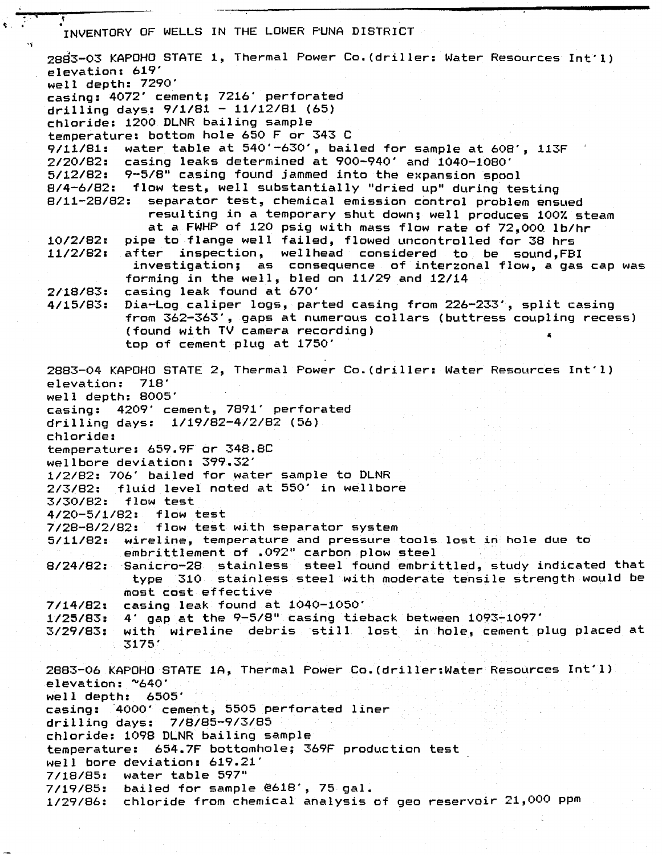7/14/82: 1/25/83: 4' gap at the 9-5/8" casing tieback between 1093-1097' 3/29/83: .<br>ا . INVENTORY OF WELLS IN THE LOWER PUNA DISTRICT 28d3-03 KAPOHO STATE 1, Thermal Power Co. (driller: Water Resources Int~l) elevation: 619' well depth: 7290' casing: 4072' cement; 7216' perforated drilling days: 9/1/81 - 11/12/81 (65) chloride: 1200 DLNR bailing sample temperature: bottom hole 650 F or 343 C 9/11/81: water table at 540'-630', bailed for sample at 608', 113F 2/20/82: casing leaks determined at 900-940' and 1040-1080' 5/12/82: 9-5/8" casing foUnd jammed into the expansion spool 8/4-6/82: flow test, well substantially "dried up" during testing separator test, chemical emission control problem ensued resulting in a temporary shut down; well produces 100% steam at <sup>a</sup> FWHP of 120 psig with mass flow rate of 72,000 lb/hr 10/2/82: pipe to flange well failed, flowed uncontrolled for 38 hrs after inspection, wellhead considered to be sound.FBI investigation; as consequence of interzonal flow, a gas cap was forming in the well, bled on 11/29 and 12/14 2/18/83: casing leak found at 670' 4/15/83: Dia-Log caliper logs, parted casing from 226-233', split casing from 362-363', gaps at numerous collars (buttress coupling recess) (found with TV camera recording) top of cement plug at 1750' 2883-04 KAPOHO STATE 2, Thermal Power Co. (driller: Water Resources Int'l) elevation: 718' well depth: 8005' casing: 4209' cement, 7891' perforated drilling days: 1/19/82-4/2/82 (56) chloride: temperature: 659.9F or 348.8C wellbore deviation: 399.32' 1/2/82: 706' bailed for water sample to DLNR 2/3/82: fluid level noted at 550' in wellbore 3/30/82: flow test 4/20-5/1/82: flow test 7/28-8/2/82: flow test with separator system 5/11/82: wireline, temperature and pressure tools lost in hole due to embrittlement of .092" carbon plow steel 8/24/82:Sanicro-28 stainless steel found embrittled, study indicated that type 310 stainless steel with moderate tensile strength would be most cost effective casing leak found at 1040-1050' with wireline debris still lost in hole, cement plug placed at 3175' 2883-06 KAPOHO STATE lA, Thermal Power Co. (driller:Water Resources Int'l) elevation: "640' well depth: 6505' casing: "4000' cement, 5505 perforated liner drilling days: 7/8/85-9/3/85 chloride: 1098 DLNR bailing sample temperature: 654.7F bottomhole; 369F production test well bore deviation: 619.21' 7/18/85: water table 597" 7/19/85: bailed for sample @618', 75 gal. 1/29/86: chloride from chemical analysis of geo reservoir 21,000 ppm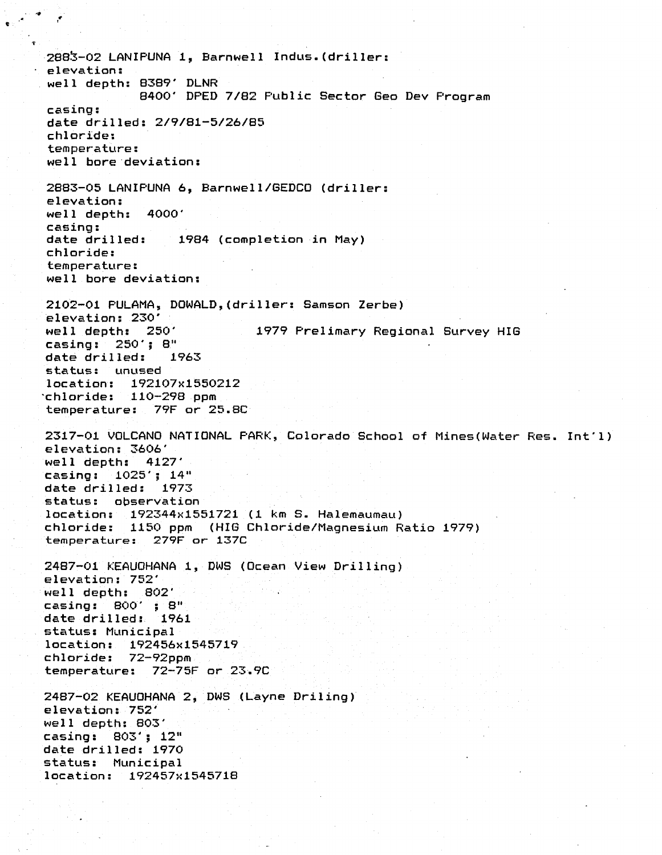2883-02 LANIPUNA 1, Barnwell Indus.(driller: elevation: well depth: 8389' DLNR 8400' DPED 7/82 Public Sector Geo Dev Program casing: date drilled: 2/9/81-5/26/85 chloride: temperature: well bore'deviation: 2883-05 LANIPUNA 6, Barnwell/GEDCO (driller: elevation: well depth: 4000' casing:<br>date drilled: date drilled: 1984 (completion in May) chloride: temperature: well bore deviation: 2102-01 PULAMA, DOWALD,(driller: Samson Zerbe) elevation: 230'<br>well depth: 250' 1979 Prelimary Regional Survey HIG casing: 250'; 8" date drilled: 1963 status: unused location: 192107x1550212 'chloride: 110-298 ppm temperature: 79F or 25.8C 2317-01 VOLCANO NATIONAL PARK, Colorado School of Mines(Water Res. Int'l) elevation: 3606' well depth: 4127' casing: 1025'; 14" date drilled: 1973 status: observation location: 192344x1551721 (1 km S. Halemaumau) chloride: 1150 ppm (HIG Chloride/Magnesium Ratio 1979) temperature: 279F or 137C 2487-01 KEAUOHANA 1, DWS (Ocean View Drilling) elevation: 752' well depth: 802' casing: 800' ; 8" date drilled: 1961 status: Municipal location: 192456x1545719 chloride: 72-92ppm temperature: 72-75F or 23~9C 2487-02 KEAUOHANA 2, DWS (Layne Driling) elevation: 752' well depth: 803' casing: 803'; 12" date drilled: 1970 status: Municipal location: 192457x1545718

 $\cdot$  .  $\cdot$  if the state  $\cdot$ 

".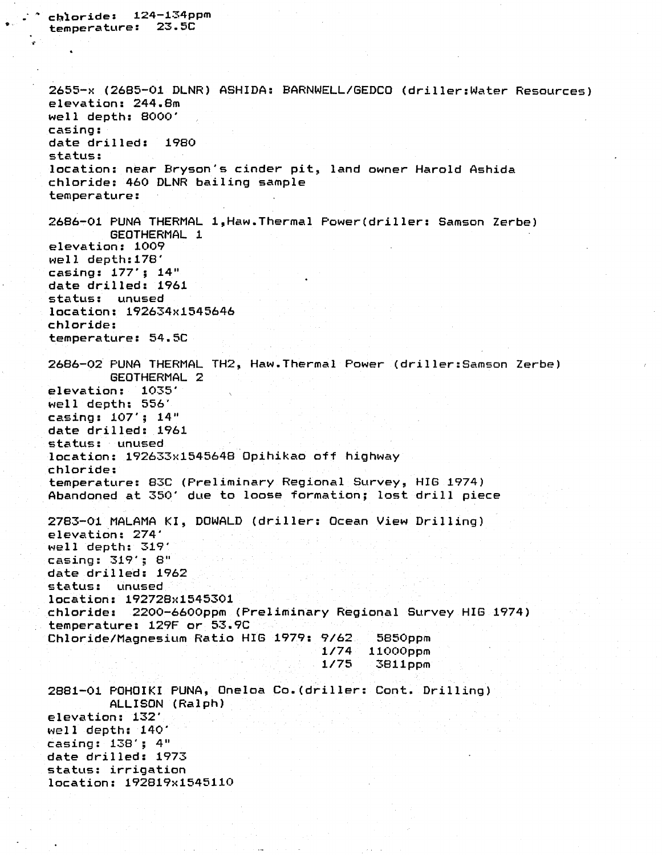```
temperature: 23.5C
2655-x (2685-01 DLNR) ASHIDA: BARNWELL/GEDCO (driller:Water Resources)
elevation: 244.8m
well depth: 8000'
casing:
date drilled: 1980
status:
location: near Bryson's cinder pit, land owner Harold Ashida
chloride: 460 DLNR bailing sample
temperature:
2686-01 PUNA THERMAL 1,Haw.Thermal Power(driller: Samson Zerbe)
        GEOTHERMAL 1
elevation: 1009
well depth:17S'
casing: 177'; 14"
date drilled: 1961
status: unused
location: 192634x1545646
chloride:
temperature: 54.5C
2686-02 PUNA THERMAL TH2, Haw.Thermal Power (driller:Samson Zerbe)
        GEOTHERMAL 2
elevation: 1035'
well depth: 556'
casing: 107'; 14"
date drilled: 1961
status: unused
location: 192633x1545648 Opihikao off highway
chloride:
temperature: 83C (Preliminary Regional Survey, HIG 1974)
Abandoned at 350' due to loose formation; lost drill piece
                                           5850ppm
                                          11QOOppm
                                           3811ppm
9/62
Chloride/Magnesium Ratio HIG 1979:
                                    1/74
                                    1/75
2783-01 MALAMA KI, DOWALD (driller: Ocean View Drilling)
elevation: 274'
well depth: 319'
casing: 319'; 8"date drilled: 1962
status: unused
location: 192728x1545301
chloride: 2200-6600ppm (Preliminary Regional Survey HIG 1974)
temperature: 129F or 53.9C
2881-01 POHOIKI PUNA, Oneloa Co.(driller: Cont. Drilling)
        ALLISON (Ralph)
elevation: 132'
well depth: 140'
casing: 138'; 4"
date drilled: 1973
status: irrigation
location: 192819x1545110
```
cQ~oride: 124-134ppm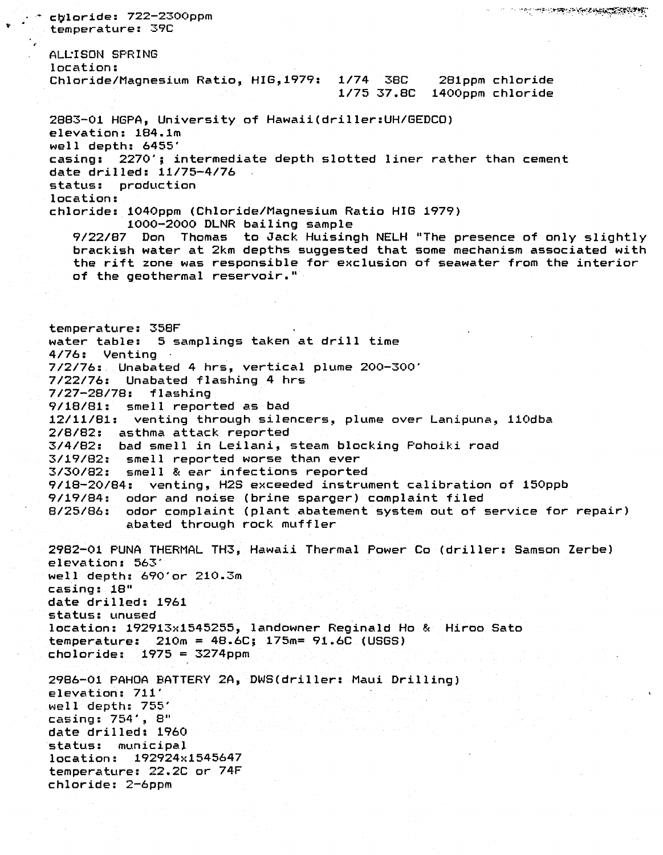e en el seu de la proprieta de la proprieta de la proprieta de la proprieta de la proprieta de la proprieta de<br>La proprieta de la proprieta de la proprieta de la proprieta de la proprieta de la proprieta de la proprieta d cbloride: 722-2300ppm temperature: 39C ALL:ISON SPRING location: Chloride/Magnesium Ratio, HIG,1979: 1/74 38C 281ppm chloride 1/75 37.8C 1400ppm chloride 2883-01 HGPA, University of Hawaii(driller:UH/GEDCO) elevation: 184.1m well depth: 6455' casing: 2270'; intermediate depth slotted liner rather than cement date drilled: 11/75-4/76 status: production location: chloride: 1040ppm (Chloride/Magnesium Ratio HIG 1979) 1000-2000 DLNR bailing sample 9/22/87 Don Thomas to Jack Huisingh NELH "The presence of only slightly brackish water at 2km depths suggested that some mechanism associated with the rift zone was responsible for exclusion of seawater from the interior of the geothermal reservoir." temperature: 358F water table: <sup>5</sup> samplings taken at drill time 4/76: Venting 7/2/76: Unabated 4 hrs, vertical plume 200-300' 7/22/76: Unabated flashing 4 hrs 7/27-28/78: flashing 9/18/81: smell reported as bad 12/11/81: venting through silencers, plume over Lanipuna, 110dba 2/8/82: asthma attack reported 3/4/82: bad smell in Leilani, steam blocking Pohoiki road 3/19/82: smell reported worse than ever 3/30/82: smell & ear infections reported venting, H2S exceeded instrument calibration of 150ppb 9/19/84: odor and noise (brine sparger) complaint filed odor complaint (plant abatement system out of service for repair) abated through rock muffler 2982-01 PUNA THERMAL TH3, Hawaii Thermal Power Co (driller: Samson Zerbe) elevation: 563' well depth: 690'or 210.3m casing: 18" date drilled: 1961 status: unused location: 192913x1545255, landowner Reginald Ho & Hiroo Sato temperature: 210m = 48.6C; 175m= 91.6C (USGS) choloride: 1975 = 3274ppm 2986-01 PAHOA BATTERY 2A, DWS(driller: Maui Drilling) elevation: 711' well depth: 755' casing: 754', 8" date drilled: 1960 status: municipal location: 192924x1545647 temperature: 22.2C or 74F chloride: 2-6ppm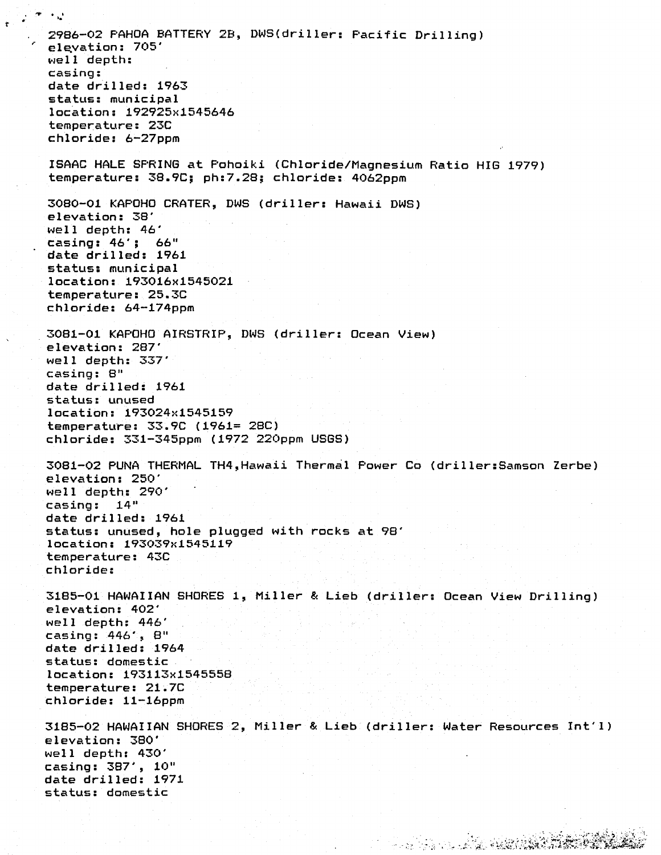2986-02 PAHOA BATTERY 2B, DWS(driller: Pacific Drilling) ;- ele.vation: 705' well depth: casing: date drilled: 1963 status: municipal location: 192925x1545646 temperature: 23C chloride: 6-27ppm ISAAC HALE SPRING at Pohoiki (Chloride/Magnesium Ratio HIG 1979) temperature: 38.9C; ph:7.28; chloride: 4062ppm 3080-01 KAPOHO CRATER, DWS (driller: Hawaii DWS) elevation: 38' well depth: 46' casing: 46'; 66" date drilled: 1961 status: municipal location: 193016x1545021 temperature: 25.3C chloride: 64-174ppm 3081-01 KAPOHO AIRSTRIP, DWS (driller: Ocean View) elevation: 287' well depth: 337' casing: 8" date drilled: 1961 status: unused location: 193024x1545159 temperatu~e: 33.9C (1961= 28C) chloride: 331-345ppm (1972 220ppm USGS) 3081-02 PUNA THERMAL TH4,Hawaii Thermal Power Co (driller:Samson Zerbe) elevation: 250' well depth: 290' casing: 14" date drilled: 1961 status: unused, hole plugged with rocks at 98' location: 193039x1545119 temperature: 43C chloride: 3185-01 HAWAIIAN SHORES 1, Miller & Lieb(driller: Ocean View Drilling) elevation: 402' well depth: 446' casing: 446', 8" date drilled: 1964 status: domestic location: 193113x1545558 temperature: 21.7C chloride: 11-16ppm 3185-02 HAWAIIAN SHORES 2, Miller & Lieb (driller: Water Resources Int'l) elevation: 380' well depth: 430' casing: 387', 10" date drilled: 1971 status: domestic

Ť

..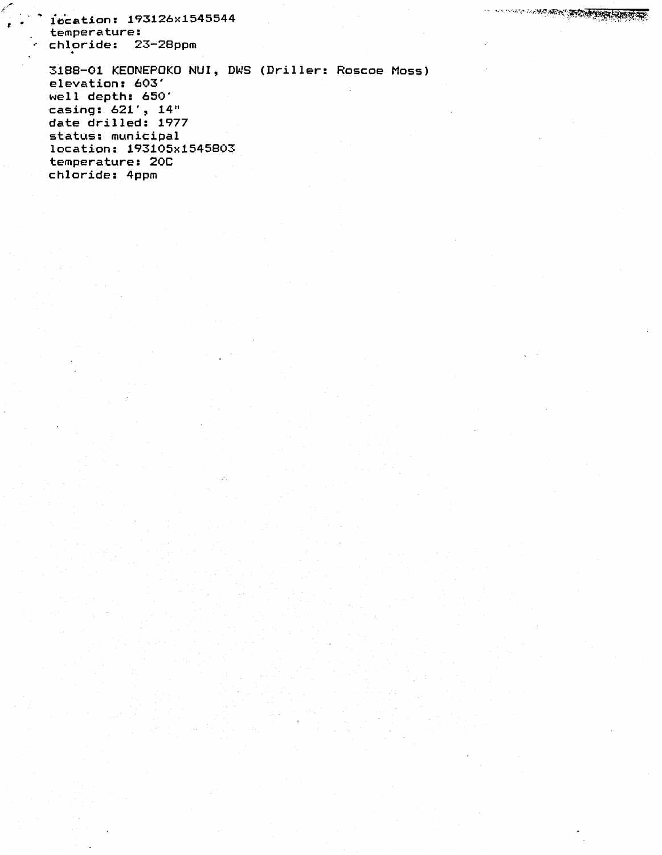1ecation: 193126x1545544 temperature: chloride: 23-28ppm

3188-01 KEONEPOKO NUl, DWS (Driller: Roscoe Moss) elevation: 603' well depth: 650' casing: 621', 14" date drilled: 1977 status: municipal location: 193105x1545803 temperature: 20C chloride: 4ppm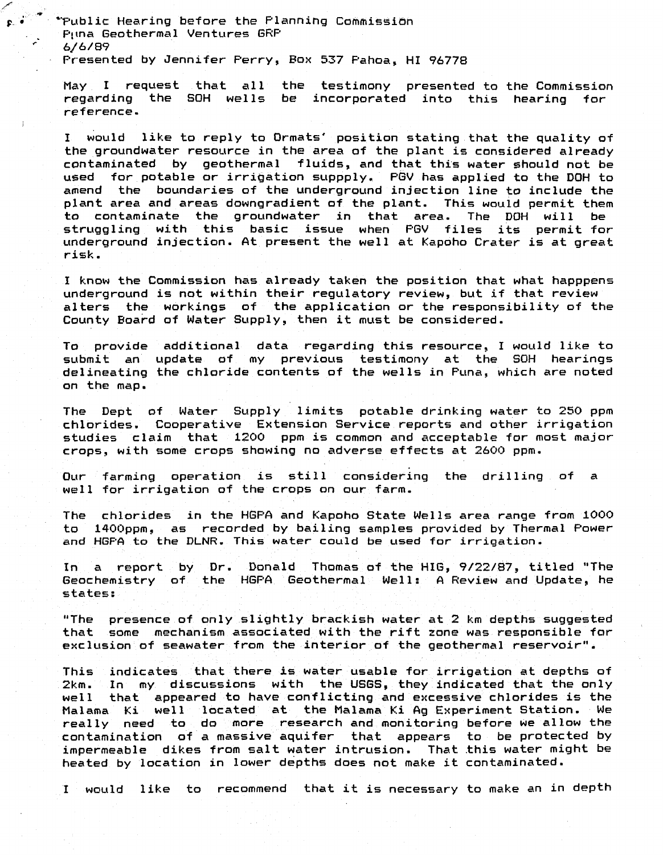"Public Hearing before the Planning Commission Puna Geothermal Ventures GRP 6/6/89 Presented by Jennifer Perry, Box 537 Pahoa, HI 96778

F· •

May I request that all the testimony presented to the Commission regarding the SOH wells be incorporated into this hearing for reference.

<sup>I</sup> would like to reply to Ormats' position stating that the quality of the groundwater resource in the area of the plant is considered already contaminated by geothermal fluids, and that this water should not be used for potable or irriQation suppply. PGV has applied to the DOH to amend the boundaries of the underground injection line to include the plant area and areas downgradient of the plant. This would permit them to contaminate the groundwater in that area. The DOH will be struggling with this basic issue when PGV files its permit for underground injection. At present the well at Kapoho Crater is at great risk.

<sup>I</sup> know the Commission has already taken the position that what happpens underground is not within their regulatory review, but if that review alters the workings of the application or the responsibility of the County Board of Water Supply, then it must be considered.

To provide additional data regarding this resource, <sup>I</sup> would like to submit an update of my previous testimony at the SOH hearings delineating the chloride contents of the wells in Puna, which are noted on the map.

The Dept of Water Supply limits potable drinking water to 250 ppm chlorides. Cooperative Extension Service reports and other irrigation studies claim that 1200 ppm is common and acceptable for most major crops, with some crops showing no adverse effects at 2600 ppm.

Our farming operation is still considering the drilling of <sup>a</sup> well for irrigation of the crops on our farm.

The chlorides in the HGPA and Kapoho State Wells area range from 1000 to 1400ppm, as recorded by bailing samples provided by Thermal Power and HGPA to the DLNR. This water could be used for irrigation.

In a report by Dr. Donald Thomas of the HIG, *9/22/87,* titled "The Geochemistry of the HGPA Geothermal Well: A Review and Update, he states:

"The presence of only slightly brackish water at2 km depths suggested that some mechanism associated with the rift zone was responsible for exclusion of seawater from the interior of the geothermal reservoir".

This indicates that there is water usable for irrigation at depths of 2km. In my discussions with the USGS, they indicated that the only well that appeared to have conflicting and excessive chlorides is the Halama Ki well located at the Halama KiAgExperiment Station. We really need to do more research and monitoring before we allow the contamination of <sup>a</sup> massive aquifer that appears to be protected by impermeable dikes from salt water intrusion. That this water might be heated by location in lower depths does not make it contaminated.

<sup>I</sup> would like to recommend that it is necessary to make an in depth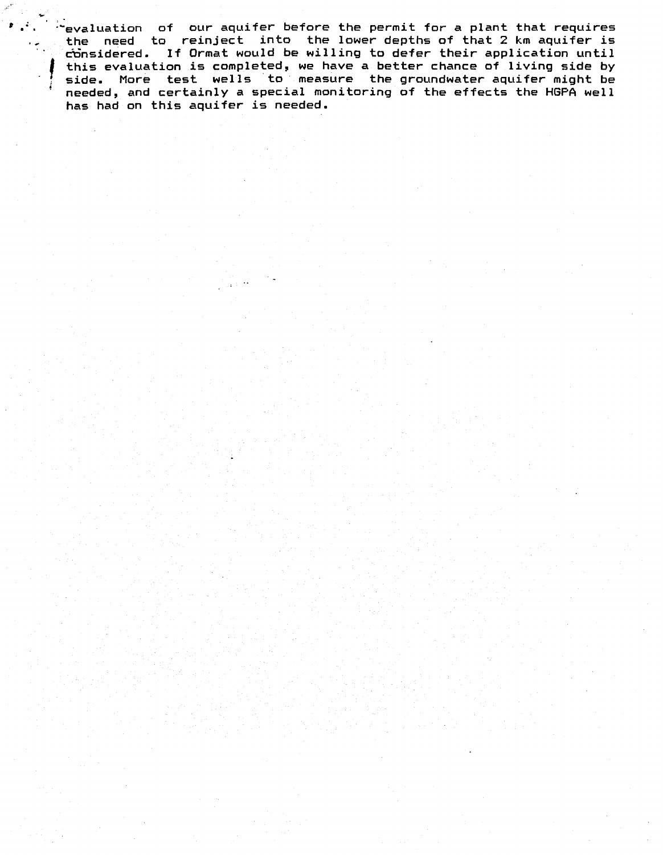$\mathbb{R}^2$ evaluation of our aquifer before the permit for a plant that requires the need to reinject into the lower depths of that <sup>2</sup> km aquifer is dbnsidered. If Ormat would be willing to defer their application until considered. If Ormat would be willing to defer their application until<br>this evaluation is completed, we have a better chance of living side by side. More test wells to measure the groundwater aquifer might be needed, and certainly a special monitoring of the effects the HGPA well has had on this aquifer is needed.

 $\ddot{\phantom{a}}$ 

.~

 $\ddot{\phantom{a}}$